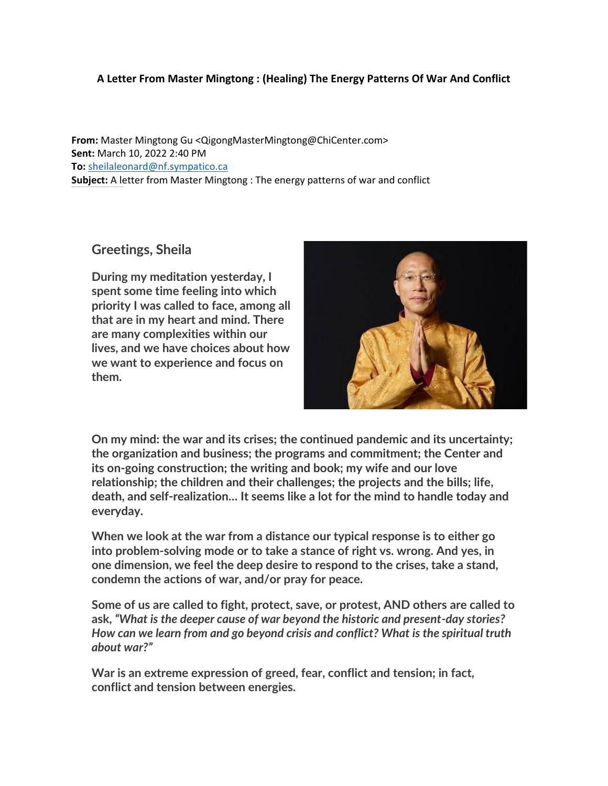## **A Letter From Master Mingtong : (Healing) The Energy Patterns Of War And Conflict**

**From:** Master Mingtong Gu <QigongMasterMingtong@ChiCenter.com> **Sent:** March 10, 2022 2:40 PM **To:** [sheilaleonard@nf.sympatico.ca](mailto:sheilaleonard@nf.sympatico.ca)  **Subject:** A letter from Master Mingtong : The energy patterns of war and conflict

## **Greetings, Sheila**

Higher wisdom sugge sts that our ol d auto-pilot responses act ually reinfor ce the pattern of war, crises, and the patterns of conflit ...

**During my meditation yesterday, I spent some time feeling into which priority I was called to face, among all that are in my heart and mind. There are many complexities within our lives, and we have choices about how we want to experience and focus on them.**



**On my mind: the war and its crises; the continued pandemic and its uncertainty; the organization and business; the programs and commitment; the Center and its on-going construction; the writing and book; my wife and our love relationship; the children and their challenges; the projects and the bills; life, death, and self-realization… It seems like a lot for the mind to handle today and everyday.** 

**When we look at the war from a distance our typical response is to either go into problem-solving mode or to take a stance of right vs. wrong. And yes, in one dimension, we feel the deep desire to respond to the crises, take a stand, condemn the actions of war, and/or pray for peace.** 

**Some of us are called to fight, protect, save, or protest, AND others are called to ask,** *"What is the deeper cause of war beyond the historic and present-day stories? How can we learn from and go beyond crisis and conflict? What is the spiritual truth about war?"*

**War is an extreme expression of greed, fear, conflict and tension; in fact, conflict and tension between energies.**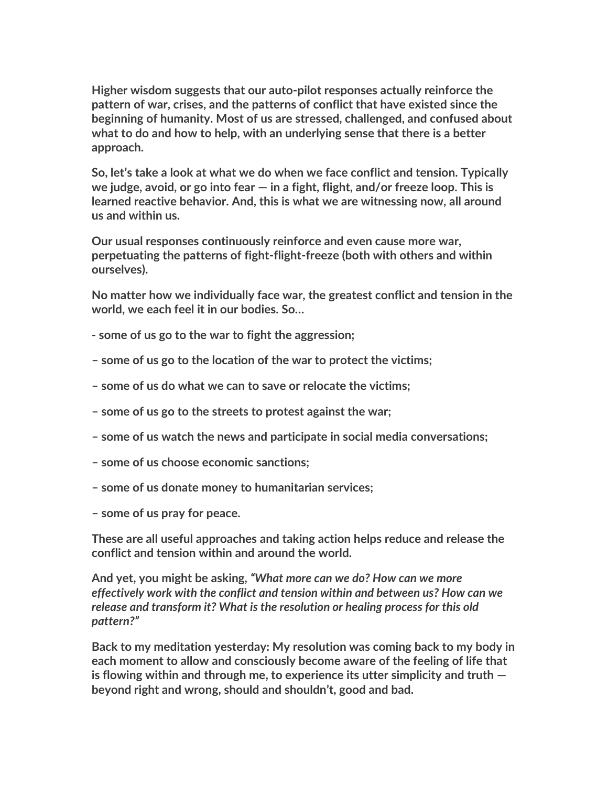**Higher wisdom suggests that our auto-pilot responses actually reinforce the pattern of war, crises, and the patterns of conflict that have existed since the beginning of humanity. Most of us are stressed, challenged, and confused about what to do and how to help, with an underlying sense that there is a better approach.** 

**So, let's take a look at what we do when we face conflict and tension. Typically we judge, avoid, or go into fear — in a fight, flight, and/or freeze loop. This is learned reactive behavior. And, this is what we are witnessing now, all around us and within us.** 

**Our usual responses continuously reinforce and even cause more war, perpetuating the patterns of fight-flight-freeze (both with others and within ourselves).** 

**No matter how we individually face war, the greatest conflict and tension in the world, we each feel it in our bodies. So…**

- **- some of us go to the war to fight the aggression;**
- **– some of us go to the location of the war to protect the victims;**
- **– some of us do what we can to save or relocate the victims;**
- **– some of us go to the streets to protest against the war;**
- **– some of us watch the news and participate in social media conversations;**
- **– some of us choose economic sanctions;**
- **– some of us donate money to humanitarian services;**
- **– some of us pray for peace.**

**These are all useful approaches and taking action helps reduce and release the conflict and tension within and around the world.** 

**And yet, you might be asking,** *"What more can we do? How can we more effectively work with the conflict and tension within and between us? How can we release and transform it? What is the resolution or healing process for this old pattern?"*

**Back to my meditation yesterday: My resolution was coming back to my body in each moment to allow and consciously become aware of the feeling of life that is flowing within and through me, to experience its utter simplicity and truth beyond right and wrong, should and shouldn't, good and bad.**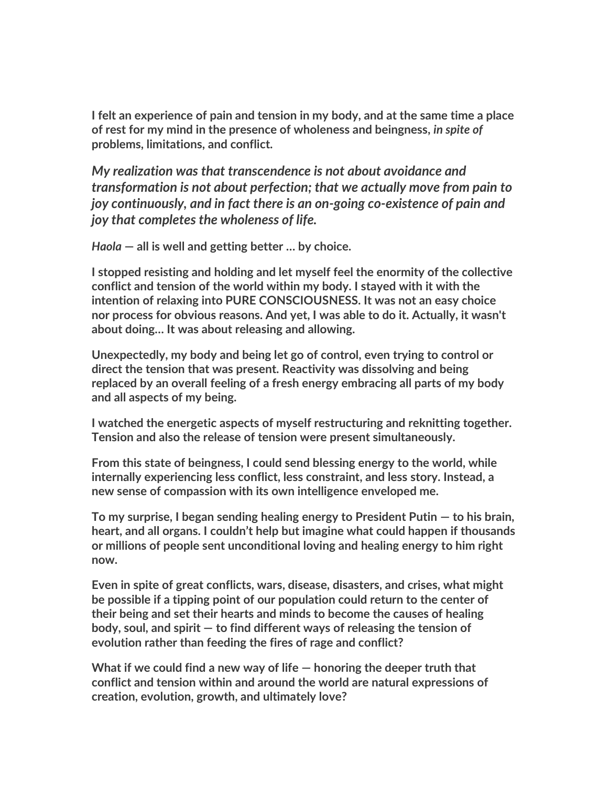**I felt an experience of pain and tension in my body, and at the same time a place of rest for my mind in the presence of wholeness and beingness,** *in spite of* **problems, limitations, and conflict.** 

*My realization was that transcendence is not about avoidance and transformation is not about perfection; that we actually move from pain to joy continuously, and in fact there is an on-going co-existence of pain and joy that completes the wholeness of life.* 

*Haola* **— all is well and getting better … by choice.**

**I stopped resisting and holding and let myself feel the enormity of the collective conflict and tension of the world within my body. I stayed with it with the intention of relaxing into PURE CONSCIOUSNESS. It was not an easy choice nor process for obvious reasons. And yet, I was able to do it. Actually, it wasn't about doing… It was about releasing and allowing.** 

**Unexpectedly, my body and being let go of control, even trying to control or direct the tension that was present. Reactivity was dissolving and being replaced by an overall feeling of a fresh energy embracing all parts of my body and all aspects of my being.** 

**I watched the energetic aspects of myself restructuring and reknitting together. Tension and also the release of tension were present simultaneously.** 

**From this state of beingness, I could send blessing energy to the world, while internally experiencing less conflict, less constraint, and less story. Instead, a new sense of compassion with its own intelligence enveloped me.**

**To my surprise, I began sending healing energy to President Putin — to his brain, heart, and all organs. I couldn't help but imagine what could happen if thousands or millions of people sent unconditional loving and healing energy to him right now.** 

**Even in spite of great conflicts, wars, disease, disasters, and crises, what might be possible if a tipping point of our population could return to the center of their being and set their hearts and minds to become the causes of healing body, soul, and spirit — to find different ways of releasing the tension of evolution rather than feeding the fires of rage and conflict?**

**What if we could find a new way of life — honoring the deeper truth that conflict and tension within and around the world are natural expressions of creation, evolution, growth, and ultimately love?**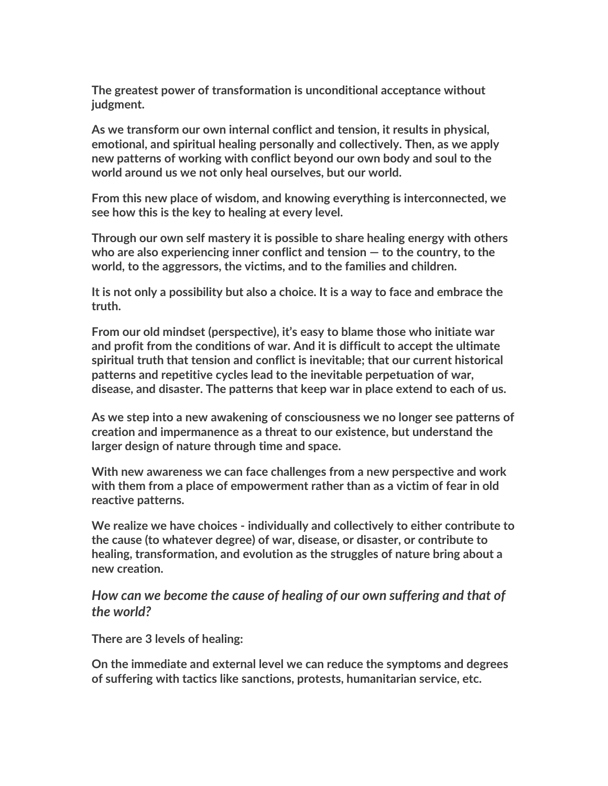**The greatest power of transformation is unconditional acceptance without judgment.** 

**As we transform our own internal conflict and tension, it results in physical, emotional, and spiritual healing personally and collectively. Then, as we apply new patterns of working with conflict beyond our own body and soul to the world around us we not only heal ourselves, but our world.**

**From this new place of wisdom, and knowing everything is interconnected, we see how this is the key to healing at every level.** 

**Through our own self mastery it is possible to share healing energy with others who are also experiencing inner conflict and tension — to the country, to the world, to the aggressors, the victims, and to the families and children.** 

**It is not only a possibility but also a choice. It is a way to face and embrace the truth.**

**From our old mindset (perspective), it's easy to blame those who initiate war and profit from the conditions of war. And it is difficult to accept the ultimate spiritual truth that tension and conflict is inevitable; that our current historical patterns and repetitive cycles lead to the inevitable perpetuation of war, disease, and disaster. The patterns that keep war in place extend to each of us.**

**As we step into a new awakening of consciousness we no longer see patterns of creation and impermanence as a threat to our existence, but understand the larger design of nature through time and space.** 

**With new awareness we can face challenges from a new perspective and work with them from a place of empowerment rather than as a victim of fear in old reactive patterns.**

**We realize we have choices - individually and collectively to either contribute to the cause (to whatever degree) of war, disease, or disaster, or contribute to healing, transformation, and evolution as the struggles of nature bring about a new creation.** 

*How can we become the cause of healing of our own suffering and that of the world?* 

**There are 3 levels of healing:**

**On the immediate and external level we can reduce the symptoms and degrees of suffering with tactics like sanctions, protests, humanitarian service, etc.**